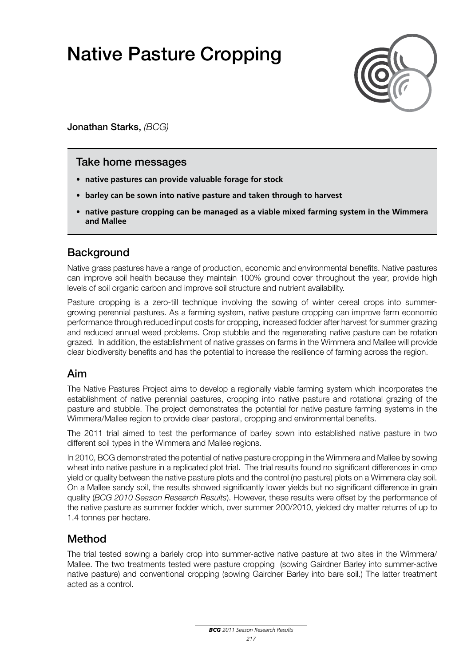# Native Pasture Cropping



Jonathan Starks, *(BCG)*

### Take home messages

- **• native pastures can provide valuable forage for stock**
- **• barley can be sown into native pasture and taken through to harvest**
- **• native pasture cropping can be managed as a viable mixed farming system in the Wimmera and Mallee**

### **Background**

Native grass pastures have a range of production, economic and environmental benefits. Native pastures can improve soil health because they maintain 100% ground cover throughout the year, provide high levels of soil organic carbon and improve soil structure and nutrient availability.

Pasture cropping is a zero-till technique involving the sowing of winter cereal crops into summergrowing perennial pastures. As a farming system, native pasture cropping can improve farm economic performance through reduced input costs for cropping, increased fodder after harvest for summer grazing and reduced annual weed problems. Crop stubble and the regenerating native pasture can be rotation grazed. In addition, the establishment of native grasses on farms in the Wimmera and Mallee will provide clear biodiversity benefits and has the potential to increase the resilience of farming across the region.

### Aim

The Native Pastures Project aims to develop a regionally viable farming system which incorporates the establishment of native perennial pastures, cropping into native pasture and rotational grazing of the pasture and stubble. The project demonstrates the potential for native pasture farming systems in the Wimmera/Mallee region to provide clear pastoral, cropping and environmental benefits.

The 2011 trial aimed to test the performance of barley sown into established native pasture in two different soil types in the Wimmera and Mallee regions.

In 2010, BCG demonstrated the potential of native pasture cropping in the Wimmera and Mallee by sowing wheat into native pasture in a replicated plot trial. The trial results found no significant differences in crop yield or quality between the native pasture plots and the control (no pasture) plots on a Wimmera clay soil. On a Mallee sandy soil, the results showed significantly lower yields but no significant difference in grain quality (*BCG 2010 Season Research Results*). However, these results were offset by the performance of the native pasture as summer fodder which, over summer 200/2010, yielded dry matter returns of up to 1.4 tonnes per hectare.

### Method

The trial tested sowing a barlely crop into summer-active native pasture at two sites in the Wimmera/ Mallee. The two treatments tested were pasture cropping (sowing Gairdner Barley into summer-active native pasture) and conventional cropping (sowing Gairdner Barley into bare soil.) The latter treatment acted as a control.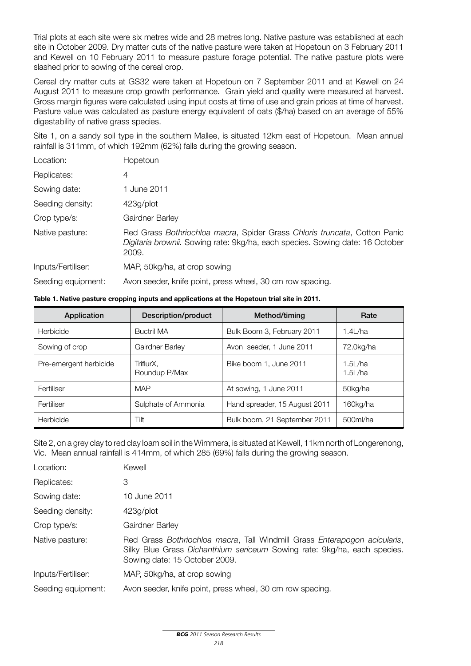Trial plots at each site were six metres wide and 28 metres long. Native pasture was established at each site in October 2009. Dry matter cuts of the native pasture were taken at Hopetoun on 3 February 2011 and Kewell on 10 February 2011 to measure pasture forage potential. The native pasture plots were slashed prior to sowing of the cereal crop.

Cereal dry matter cuts at GS32 were taken at Hopetoun on 7 September 2011 and at Kewell on 24 August 2011 to measure crop growth performance. Grain yield and quality were measured at harvest. Gross margin figures were calculated using input costs at time of use and grain prices at time of harvest. Pasture value was calculated as pasture energy equivalent of oats (\$/ha) based on an average of 55% digestability of native grass species.

Site 1, on a sandy soil type in the southern Mallee, is situated 12km east of Hopetoun. Mean annual rainfall is 311mm, of which 192mm (62%) falls during the growing season.

| Location:          | Hopetoun                                                                                                                                                            |
|--------------------|---------------------------------------------------------------------------------------------------------------------------------------------------------------------|
| Replicates:        | 4                                                                                                                                                                   |
| Sowing date:       | 1 June 2011                                                                                                                                                         |
| Seeding density:   | 423g/plot                                                                                                                                                           |
| Crop type/s:       | Gairdner Barley                                                                                                                                                     |
| Native pasture:    | Red Grass Bothriochloa macra, Spider Grass Chloris truncata, Cotton Panic<br>Digitaria brownii. Sowing rate: 9kg/ha, each species. Sowing date: 16 October<br>2009. |
| Inputs/Fertiliser: | MAP, 50kg/ha, at crop sowing                                                                                                                                        |
| Seeding equipment: | Avon seeder, knife point, press wheel, 30 cm row spacing.                                                                                                           |

#### **Table 1. Native pasture cropping inputs and applications at the Hopetoun trial site in 2011.**

| Application            | <b>Description/product</b> | Method/timing                 | Rate               |
|------------------------|----------------------------|-------------------------------|--------------------|
| Herbicide              | <b>Buctril MA</b>          | Bulk Boom 3, February 2011    | 1.4L/ha            |
| Sowing of crop         | Gairdner Barley            | Avon seeder, 1 June 2011      | 72.0kg/ha          |
| Pre-emergent herbicide | TriflurX.<br>Roundup P/Max | Bike boom 1, June 2011        | 1.5L/ha<br>1.5L/ha |
| Fertiliser             | <b>MAP</b>                 | At sowing, 1 June 2011        | 50kg/ha            |
| Fertiliser             | Sulphate of Ammonia        | Hand spreader, 15 August 2011 | 160kg/ha           |
| Herbicide              | Tilt                       | Bulk boom, 21 September 2011  | 500ml/ha           |

Site 2, on a grey clay to red clay loam soil in the Wimmera, is situated at Kewell, 11km north of Longerenong, Vic. Mean annual rainfall is 414mm, of which 285 (69%) falls during the growing season.

| Location:          | Kewell                                                                                                                                                                                 |
|--------------------|----------------------------------------------------------------------------------------------------------------------------------------------------------------------------------------|
| Replicates:        | З                                                                                                                                                                                      |
| Sowing date:       | 10 June 2011                                                                                                                                                                           |
| Seeding density:   | 423g/plot                                                                                                                                                                              |
| Crop type/s:       | Gairdner Barley                                                                                                                                                                        |
| Native pasture:    | Red Grass Bothriochloa macra, Tall Windmill Grass Enterapogon acicularis,<br>Silky Blue Grass Dichanthium sericeum Sowing rate: 9kg/ha, each species.<br>Sowing date: 15 October 2009. |
| Inputs/Fertiliser: | MAP, 50kg/ha, at crop sowing                                                                                                                                                           |
| Seeding equipment: | Avon seeder, knife point, press wheel, 30 cm row spacing.                                                                                                                              |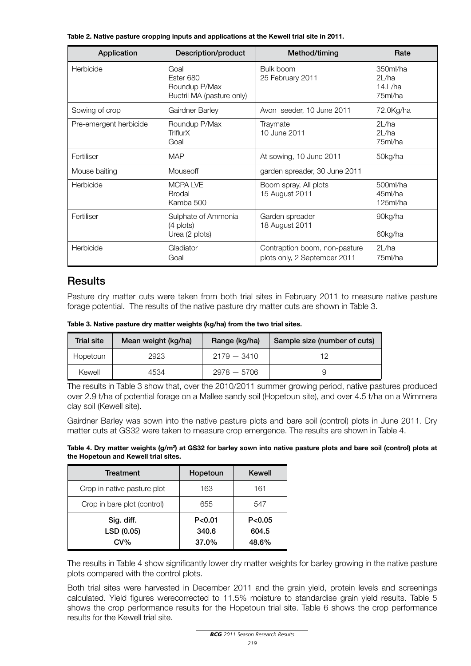**Table 2. Native pasture cropping inputs and applications at the Kewell trial site in 2011.**

| Application            | Description/product                                             | Method/timing                                                 | Rate                                         |
|------------------------|-----------------------------------------------------------------|---------------------------------------------------------------|----------------------------------------------|
| Herbicide              | Goal<br>Ester 680<br>Roundup P/Max<br>Buctril MA (pasture only) | Bulk boom<br>25 February 2011                                 | 350ml/ha<br>2L/ha<br>$14$ . $/ha$<br>75ml/ha |
| Sowing of crop         | Gairdner Barley                                                 | Avon seeder, 10 June 2011                                     | 72.0Kg/ha                                    |
| Pre-emergent herbicide | Roundup P/Max<br>TriflurX<br>Goal                               | Traymate<br>10 June 2011                                      | 2L/ha<br>2L/ha<br>75ml/ha                    |
| Fertiliser             | <b>MAP</b>                                                      | At sowing, 10 June 2011                                       | 50kg/ha                                      |
| Mouse baiting          | Mouseoff                                                        | garden spreader, 30 June 2011                                 |                                              |
| Herbicide              | <b>MCPALVE</b><br><b>Brodal</b><br>Kamba 500                    | Boom spray, All plots<br>15 August 2011                       | 500ml/ha<br>45ml/ha<br>125ml/ha              |
| Fertiliser             | Sulphate of Ammonia<br>(4 plots)<br>Urea (2 plots)              | Garden spreader<br>18 August 2011                             | 90kg/ha<br>60kg/ha                           |
| Herbicide              | Gladiator<br>Goal                                               | Contraption boom, non-pasture<br>plots only, 2 September 2011 | 2L/ha<br>75ml/ha                             |

## **Results**

Pasture dry matter cuts were taken from both trial sites in February 2011 to measure native pasture forage potential. The results of the native pasture dry matter cuts are shown in Table 3.

**Table 3. Native pasture dry matter weights (kg/ha) from the two trial sites.**

| Trial site | Mean weight (kg/ha) | Range (kg/ha) | Sample size (number of cuts) |
|------------|---------------------|---------------|------------------------------|
| Hopetoun   | 2923                | $2179 - 3410$ | 1 2                          |
| Kewell     | 4534                | $2978 - 5706$ |                              |

The results in Table 3 show that, over the 2010/2011 summer growing period, native pastures produced over 2.9 t/ha of potential forage on a Mallee sandy soil (Hopetoun site), and over 4.5 t/ha on a Wimmera clay soil (Kewell site).

Gairdner Barley was sown into the native pasture plots and bare soil (control) plots in June 2011. Dry matter cuts at GS32 were taken to measure crop emergence. The results are shown in Table 4.

| Table 4. Dry matter weights $(g/m^2)$ at GS32 for barley sown into native pasture plots and bare soil (control) plots at |  |
|--------------------------------------------------------------------------------------------------------------------------|--|
| the Hopetoun and Kewell trial sites.                                                                                     |  |

| <b>Treatment</b>                   | Hopetoun                   | Kewell                     |
|------------------------------------|----------------------------|----------------------------|
| Crop in native pasture plot        | 163                        | 161                        |
| Crop in bare plot (control)        | 655                        | 547                        |
| Sig. diff.<br>LSD (0.05)<br>$CV\%$ | P < 0.01<br>340.6<br>37.0% | P < 0.05<br>604.5<br>48.6% |

The results in Table 4 show significantly lower dry matter weights for barley growing in the native pasture plots compared with the control plots.

Both trial sites were harvested in December 2011 and the grain yield, protein levels and screenings calculated. Yield figures werecorrected to 11.5% moisture to standardise grain yield results. Table 5 shows the crop performance results for the Hopetoun trial site. Table 6 shows the crop performance results for the Kewell trial site.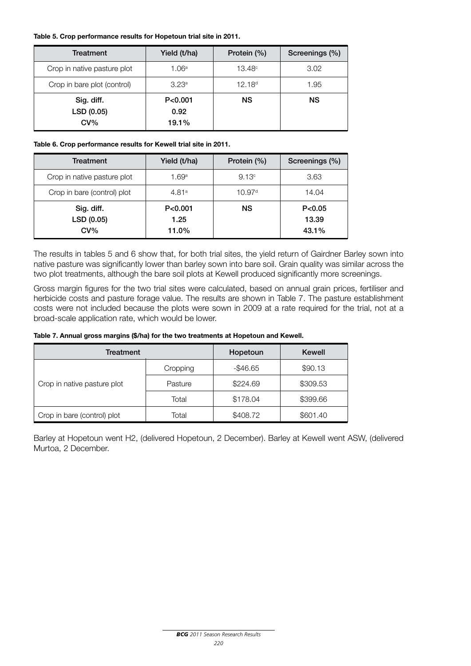#### **Table 5. Crop performance results for Hopetoun trial site in 2011.**

| Treatment                          | Yield (t/ha)               | Protein $(\% )$    | Screenings (%) |
|------------------------------------|----------------------------|--------------------|----------------|
| Crop in native pasture plot        | 1.06a                      | $13.48^{\circ}$    | 3.02           |
| Crop in bare plot (control)        | 3.23 <sup>a</sup>          | 12.18 <sup>d</sup> | 1.95           |
| Sig. diff.<br>LSD (0.05)<br>$CV\%$ | P < 0.001<br>0.92<br>19.1% | <b>NS</b>          | <b>NS</b>      |

#### **Table 6. Crop performance results for Kewell trial site in 2011.**

| Treatment                          | Yield (t/ha)               | Protein $(\% )$    | Screenings (%)            |
|------------------------------------|----------------------------|--------------------|---------------------------|
| Crop in native pasture plot        | 1.69a                      | 9.13 <sup>c</sup>  | 3.63                      |
| Crop in bare (control) plot        | 4.81a                      | 10.97 <sup>d</sup> | 14.04                     |
| Sig. diff.<br>LSD (0.05)<br>$CV\%$ | P < 0.001<br>1.25<br>11.0% | <b>NS</b>          | P< 0.05<br>13.39<br>43.1% |

The results in tables 5 and 6 show that, for both trial sites, the yield return of Gairdner Barley sown into native pasture was significantly lower than barley sown into bare soil. Grain quality was similar across the two plot treatments, although the bare soil plots at Kewell produced significantly more screenings.

Gross margin figures for the two trial sites were calculated, based on annual grain prices, fertiliser and herbicide costs and pasture forage value. The results are shown in Table 7. The pasture establishment costs were not included because the plots were sown in 2009 at a rate required for the trial, not at a broad-scale application rate, which would be lower.

#### **Table 7. Annual gross margins (\$/ha) for the two treatments at Hopetoun and Kewell.**

| Treatment                   |          | Hopetoun    | Kewell   |
|-----------------------------|----------|-------------|----------|
|                             | Cropping | $-$ \$46.65 | \$90.13  |
| Crop in native pasture plot | Pasture  | \$224.69    | \$309.53 |
|                             | Total    | \$178.04    | \$399.66 |
| Crop in bare (control) plot | Total    | \$408.72    | \$601.40 |

Barley at Hopetoun went H2, (delivered Hopetoun, 2 December). Barley at Kewell went ASW, (delivered Murtoa, 2 December.